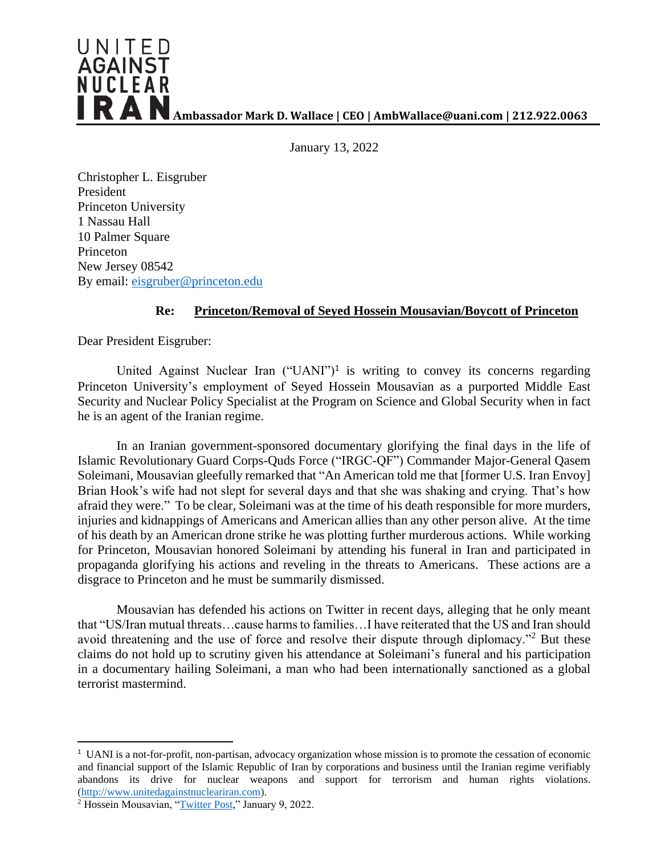

January 13, 2022

Christopher L. Eisgruber President Princeton University 1 Nassau Hall 10 Palmer Square Princeton New Jersey 08542 By email: [eisgruber@princeton.edu](mailto:eisgruber@princeton.edu)

## **Re: Princeton/Removal of Seyed Hossein Mousavian/Boycott of Princeton**

Dear President Eisgruber:

United Against Nuclear Iran ("UANI")<sup>1</sup> is writing to convey its concerns regarding Princeton University's employment of Seyed Hossein Mousavian as a purported Middle East Security and Nuclear Policy Specialist at the Program on Science and Global Security when in fact he is an agent of the Iranian regime.

In an Iranian government-sponsored documentary glorifying the final days in the life of Islamic Revolutionary Guard Corps-Quds Force ("IRGC-QF") Commander Major-General Qasem Soleimani, Mousavian gleefully remarked that "An American told me that [former U.S. Iran Envoy] Brian Hook's wife had not slept for several days and that she was shaking and crying. That's how afraid they were." To be clear, Soleimani was at the time of his death responsible for more murders, injuries and kidnappings of Americans and American allies than any other person alive. At the time of his death by an American drone strike he was plotting further murderous actions. While working for Princeton, Mousavian honored Soleimani by attending his funeral in Iran and participated in propaganda glorifying his actions and reveling in the threats to Americans. These actions are a disgrace to Princeton and he must be summarily dismissed.

Mousavian has defended his actions on Twitter in recent days, alleging that he only meant that "US/Iran mutual threats…cause harms to families…I have reiterated that the US and Iran should avoid threatening and the use of force and resolve their dispute through diplomacy."<sup>2</sup> But these claims do not hold up to scrutiny given his attendance at Soleimani's funeral and his participation in a documentary hailing Soleimani, a man who had been internationally sanctioned as a global terrorist mastermind.

<sup>&</sup>lt;sup>1</sup> UANI is a not-for-profit, non-partisan, advocacy organization whose mission is to promote the cessation of economic and financial support of the Islamic Republic of Iran by corporations and business until the Iranian regime verifiably abandons its drive for nuclear weapons and support for terrorism and human rights violations. [\(http://www.unitedagainstnucleariran.com\)](http://www.unitedagainstnucleariran.com/).

<sup>&</sup>lt;sup>2</sup> Hossein Mousavian, ["Twitter Post,](https://twitter.com/hmousavian/status/1480181906142601218)" January 9, 2022.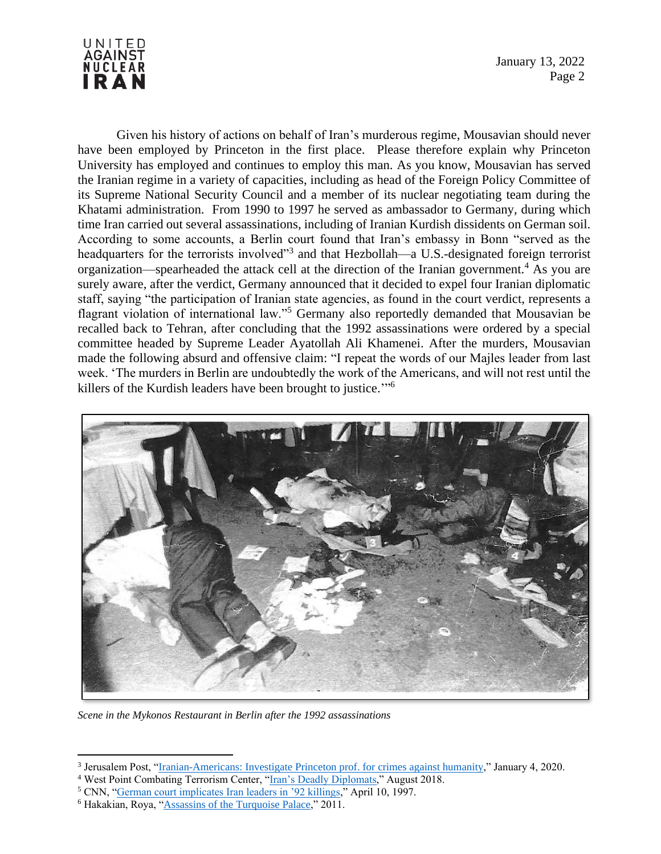

January 13, 2022 Page 2

Given his history of actions on behalf of Iran's murderous regime, Mousavian should never have been employed by Princeton in the first place. Please therefore explain why Princeton University has employed and continues to employ this man. As you know, Mousavian has served the Iranian regime in a variety of capacities, including as head of the Foreign Policy Committee of its Supreme National Security Council and a member of its nuclear negotiating team during the Khatami administration. From 1990 to 1997 he served as ambassador to Germany, during which time Iran carried out several assassinations, including of Iranian Kurdish dissidents on German soil. According to some accounts, a Berlin court found that Iran's embassy in Bonn "served as the headquarters for the terrorists involved<sup>33</sup> and that Hezbollah—a U.S.-designated foreign terrorist organization—spearheaded the attack cell at the direction of the Iranian government.<sup>4</sup> As you are surely aware, after the verdict, Germany announced that it decided to expel four Iranian diplomatic staff, saying "the participation of Iranian state agencies, as found in the court verdict, represents a flagrant violation of international law."<sup>5</sup> Germany also reportedly demanded that Mousavian be recalled back to Tehran, after concluding that the 1992 assassinations were ordered by a special committee headed by Supreme Leader Ayatollah Ali Khamenei. After the murders, Mousavian made the following absurd and offensive claim: "I repeat the words of our Majles leader from last week. 'The murders in Berlin are undoubtedly the work of the Americans, and will not rest until the killers of the Kurdish leaders have been brought to justice."<sup>6</sup>



*Scene in the Mykonos Restaurant in Berlin after the 1992 assassinations*

<sup>&</sup>lt;sup>3</sup> Jerusalem Post, "Iranian-Americans: [Investigate Princeton prof. for crimes against humanity,](https://www.jpost.com/diaspora/antisemitism/iranian-americans-investigate-princeton-prof-for-crimes-against-humanity-612951)" January 4, 2020.

<sup>&</sup>lt;sup>4</sup> West Point Combating Terrorism Center, ["Iran's Deadly Diplomats,](https://ctc.usma.edu/irans-deadly-diplomats/)" August 2018.

<sup>5</sup> CNN, ["German court implicates Iran leaders in '92 killings,](http://edition.cnn.com/WORLD/9704/10/germany.iran/)" April 10, 1997.

<sup>6</sup> Hakakian, Roya, ["Assassins of the Turquoise Palace,](https://www.google.com/books/edition/Assassins_of_the_Turquoise_Palace/I5zmbMR2FTAC?hl=en&gbpv=1&bsq=americans)" 2011.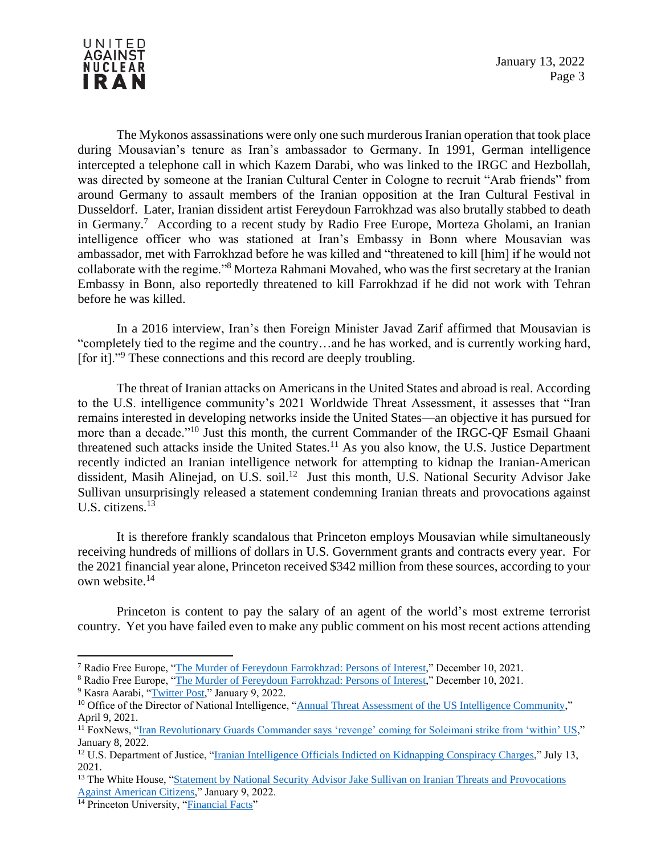

The Mykonos assassinations were only one such murderous Iranian operation that took place during Mousavian's tenure as Iran's ambassador to Germany. In 1991, German intelligence intercepted a telephone call in which Kazem Darabi, who was linked to the IRGC and Hezbollah, was directed by someone at the Iranian Cultural Center in Cologne to recruit "Arab friends" from around Germany to assault members of the Iranian opposition at the Iran Cultural Festival in Dusseldorf. Later, Iranian dissident artist Fereydoun Farrokhzad was also brutally stabbed to death in Germany.<sup>7</sup> According to a recent study by Radio Free Europe, Morteza Gholami, an Iranian intelligence officer who was stationed at Iran's Embassy in Bonn where Mousavian was ambassador, met with Farrokhzad before he was killed and "threatened to kill [him] if he would not collaborate with the regime."<sup>8</sup> Morteza Rahmani Movahed, who was the first secretary at the Iranian Embassy in Bonn, also reportedly threatened to kill Farrokhzad if he did not work with Tehran before he was killed.

In a 2016 interview, Iran's then Foreign Minister Javad Zarif affirmed that Mousavian is "completely tied to the regime and the country…and he has worked, and is currently working hard, [for it]."<sup>9</sup> These connections and this record are deeply troubling.

The threat of Iranian attacks on Americans in the United States and abroad is real. According to the U.S. intelligence community's 2021 Worldwide Threat Assessment, it assesses that "Iran remains interested in developing networks inside the United States—an objective it has pursued for more than a decade."<sup>10</sup> Just this month, the current Commander of the IRGC-QF Esmail Ghaani threatened such attacks inside the United States.<sup>11</sup> As you also know, the U.S. Justice Department recently indicted an Iranian intelligence network for attempting to kidnap the Iranian-American dissident, Masih Alinejad, on U.S. soil.<sup>12</sup> Just this month, U.S. National Security Advisor Jake Sullivan unsurprisingly released a statement condemning Iranian threats and provocations against U.S. citizens.<sup>13</sup>

It is therefore frankly scandalous that Princeton employs Mousavian while simultaneously receiving hundreds of millions of dollars in U.S. Government grants and contracts every year. For the 2021 financial year alone, Princeton received \$342 million from these sources, according to your own website.<sup>14</sup>

Princeton is content to pay the salary of an agent of the world's most extreme terrorist country. Yet you have failed even to make any public comment on his most recent actions attending

<sup>7</sup> Radio Free Europe, ["The Murder of Fereydoun Farrokhzad: Persons of Interest,](https://www.rferl.org/a/farrokhzad-murder-persons-of-interest/31566368.html)" December 10, 2021.

<sup>8</sup> Radio Free Europe, ["The Murder of Fereydoun Farrokhzad: Persons of Interest,](https://www.rferl.org/a/farrokhzad-murder-persons-of-interest/31566368.html)" December 10, 2021.

<sup>&</sup>lt;sup>9</sup> Kasra Aarabi, ["Twitter Post,"](https://twitter.com/KasraAarabi/status/1480220659221508099) January 9, 2022.

<sup>&</sup>lt;sup>10</sup> Office of the Director of National Intelligence, ["Annual Threat Assessment of the US Intelligence Community,](https://www.dni.gov/files/ODNI/documents/assessments/ATA-2021-Unclassified-Report.pdf)" April 9, 2021.

<sup>&</sup>lt;sup>11</sup> FoxNews, "Iran Revolutionary [Guards Commander says 'revenge' coming for Soleimani strike from 'within' US,](https://www.foxnews.com/world/iran-revolutionary-guards-commander-says-revenge-coming-for-soleimani-strike-from-within-us)" January 8, 2022.

<sup>&</sup>lt;sup>12</sup> U.S. Department of Justice, ["Iranian Intelligence Officials Indicted on Kidnapping Conspiracy Charges,](https://www.justice.gov/opa/pr/iranian-intelligence-officials-indicted-kidnapping-conspiracy-charges)" July 13, 2021.

<sup>&</sup>lt;sup>13</sup> The White House, "Statement by National Security Advisor Jake Sullivan on Iranian Threats and Provocations [Against American Citizens,"](https://www.whitehouse.gov/briefing-room/statements-releases/2022/01/09/statement-by-national-security-advisor-jake-sullivan-on-iranian-threats-and-provocations-against-american-citizens/) January 9, 2022.

<sup>&</sup>lt;sup>14</sup> Princeton University, ["Financial Facts"](https://finance.princeton.edu/financial-facts)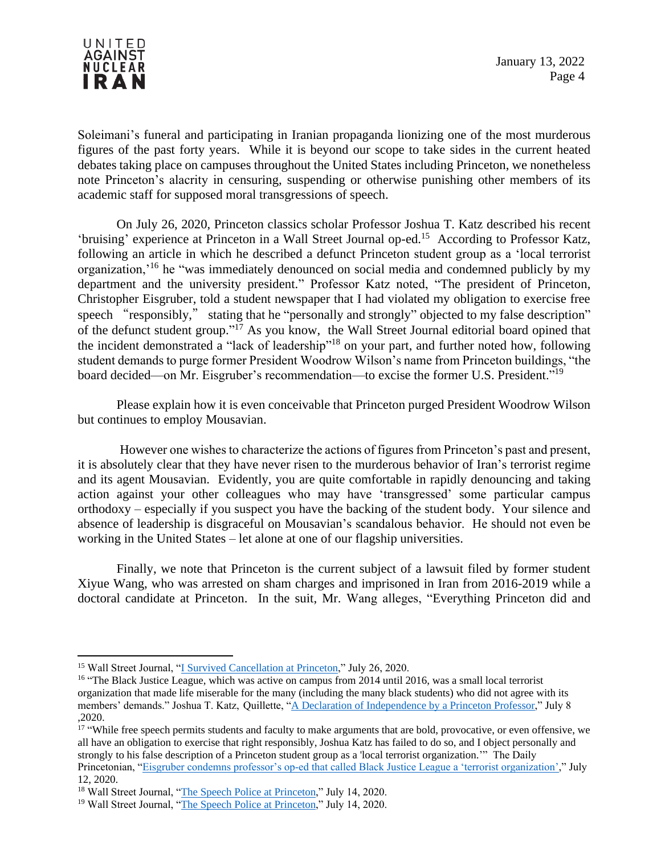

Soleimani's funeral and participating in Iranian propaganda lionizing one of the most murderous figures of the past forty years. While it is beyond our scope to take sides in the current heated debates taking place on campuses throughout the United States including Princeton, we nonetheless note Princeton's alacrity in censuring, suspending or otherwise punishing other members of its academic staff for supposed moral transgressions of speech.

On July 26, 2020, Princeton classics scholar Professor Joshua T. Katz described his recent 'bruising' experience at Princeton in a Wall Street Journal op-ed.<sup>15</sup> According to Professor Katz, following an article in which he described a defunct Princeton student group as a 'local terrorist organization,'<sup>16</sup> he "was immediately denounced on social media and condemned publicly by my department and the university president." Professor Katz noted, "The president of Princeton, Christopher Eisgruber, told a student newspaper that I had violated my obligation to exercise free speech "responsibly," stating that he "personally and strongly" objected to my false description" of the defunct student group."<sup>17</sup> As you know, the Wall Street Journal editorial board opined that the incident demonstrated a "lack of leadership"<sup>18</sup> on your part, and further noted how, following student demands to purge former President Woodrow Wilson's name from Princeton buildings, "the board decided—on Mr. Eisgruber's recommendation—to excise the former U.S. President."<sup>19</sup>

Please explain how it is even conceivable that Princeton purged President Woodrow Wilson but continues to employ Mousavian.

However one wishes to characterize the actions of figures from Princeton's past and present, it is absolutely clear that they have never risen to the murderous behavior of Iran's terrorist regime and its agent Mousavian. Evidently, you are quite comfortable in rapidly denouncing and taking action against your other colleagues who may have 'transgressed' some particular campus orthodoxy – especially if you suspect you have the backing of the student body. Your silence and absence of leadership is disgraceful on Mousavian's scandalous behavior. He should not even be working in the United States – let alone at one of our flagship universities.

Finally, we note that Princeton is the current subject of a lawsuit filed by former student Xiyue Wang, who was arrested on sham charges and imprisoned in Iran from 2016-2019 while a doctoral candidate at Princeton. In the suit, Mr. Wang alleges, "Everything Princeton did and

<sup>17</sup> "While free speech permits students and faculty to make arguments that are bold, provocative, or even offensive, we all have an obligation to exercise that right responsibly, Joshua Katz has failed to do so, and I object personally and strongly to his false description of a Princeton student group as a 'local terrorist organization.'" The Daily Princetonian, ["Eisgruber condemns professor's op-ed that called Black Justice League a 'terrorist organization',](https://www.dailyprincetonian.com/article/2020/07/joshua-katz-black-justice-league-terrorist-organization-quillette-letter-princeton)" July 12, 2020.

<sup>&</sup>lt;sup>15</sup> Wall Street Journal, ["I Survived Cancellation at Princeton,](https://www.wsj.com/articles/i-survived-cancellation-at-princeton-11595787211)" July 26, 2020.

<sup>&</sup>lt;sup>16</sup> "The Black Justice League, which was active on campus from 2014 until 2016, was a small local terrorist organization that made life miserable for the many (including the many black students) who did not agree with its members' demands." Joshua T. Katz, Quillette, ["A Declaration of Independence by a Princeton Professor,](https://quillette.com/2020/07/08/a-declaration-of-independence-by-a-princeton-professor/)" July 8 ,2020.

<sup>&</sup>lt;sup>18</sup> Wall Street Journal, ["The Speech Police at Princeton,](https://www.wsj.com/articles/the-speech-police-at-princeton-11594769170?mod=article_inline)" July 14, 2020.

<sup>&</sup>lt;sup>19</sup> Wall Street Journal, ["The Speech Police at Princeton,](https://www.wsj.com/articles/the-speech-police-at-princeton-11594769170?mod=article_inline)" July 14, 2020.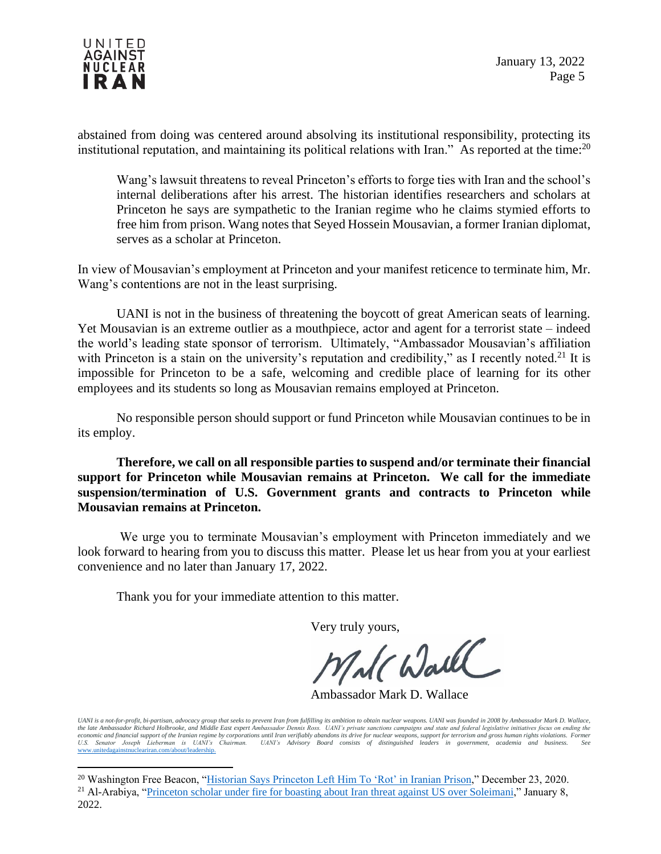

abstained from doing was centered around absolving its institutional responsibility, protecting its institutional reputation, and maintaining its political relations with Iran." As reported at the time:<sup>20</sup>

Wang's lawsuit threatens to reveal Princeton's efforts to forge ties with Iran and the school's internal deliberations after his arrest. The historian identifies researchers and scholars at Princeton he says are sympathetic to the Iranian regime who he claims stymied efforts to free him from prison. Wang notes that Seyed Hossein Mousavian, a former Iranian diplomat, serves as a scholar at Princeton.

In view of Mousavian's employment at Princeton and your manifest reticence to terminate him, Mr. Wang's contentions are not in the least surprising.

UANI is not in the business of threatening the boycott of great American seats of learning. Yet Mousavian is an extreme outlier as a mouthpiece, actor and agent for a terrorist state – indeed the world's leading state sponsor of terrorism. Ultimately, "Ambassador Mousavian's affiliation with Princeton is a stain on the university's reputation and credibility," as I recently noted.<sup>21</sup> It is impossible for Princeton to be a safe, welcoming and credible place of learning for its other employees and its students so long as Mousavian remains employed at Princeton.

No responsible person should support or fund Princeton while Mousavian continues to be in its employ.

**Therefore, we call on all responsible parties to suspend and/or terminate their financial support for Princeton while Mousavian remains at Princeton. We call for the immediate suspension/termination of U.S. Government grants and contracts to Princeton while Mousavian remains at Princeton.** 

We urge you to terminate Mousavian's employment with Princeton immediately and we look forward to hearing from you to discuss this matter. Please let us hear from you at your earliest convenience and no later than January 17, 2022.

Thank you for your immediate attention to this matter.

Very truly yours,

Ambassador Mark D. Wallace

UANI is a not-for-profit, bi-partisan, advocacy group that seeks to prevent Iran from fulfilling its ambition to obtain nuclear weapons. UANI was founded in 2008 by Ambassador Mark D. Wallace,<br>etconomic and financial suppo [www.unitedagainstnucleariran.com/about/leadership.](http://www.unitedagainstnucleariran.com/about/leadership)

<sup>&</sup>lt;sup>20</sup> Washington Free Beacon, ["Historian Says Princeton Left Him To 'Rot' in Iranian Prison,](https://freebeacon.com/campus/historian-says-princeton-left-him-to-rot-in-iranian-prison/)" December 23, 2020. <sup>21</sup> Al-Arabiya, ["Princeton scholar under fire for boasting about Iran threat against US over Soleimani,](https://english.alarabiya.net/News/middle-east/2022/01/08/Princeton-scholar-under-fire-for-boasting-about-Iran-threat-against-US-over-Soleimani)" January 8, 2022.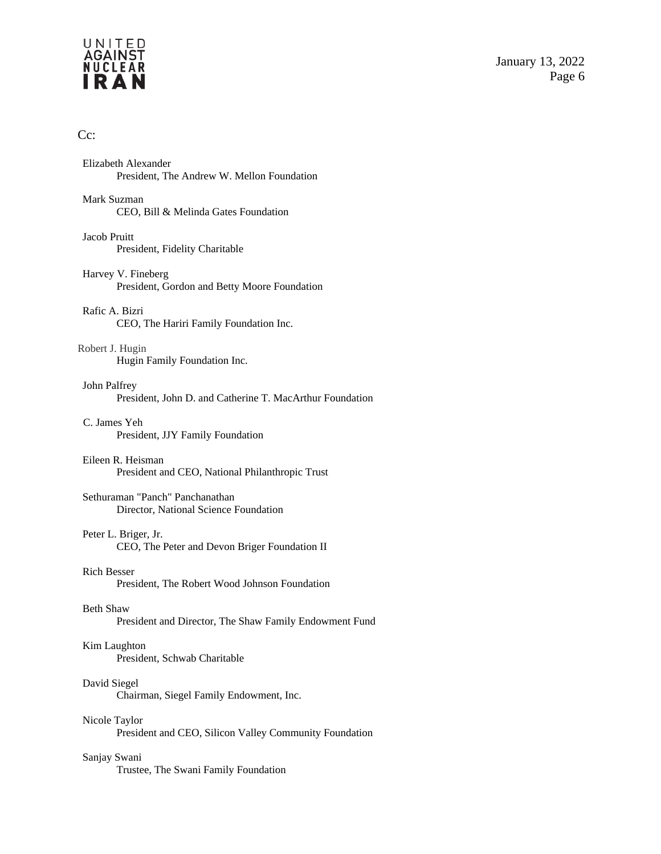## UNITED<br>AGAINST<br>NUCLEAR<br>**I R A N**

## Cc:

| Elizabeth Alexander<br>President, The Andrew W. Mellon Foundation          |
|----------------------------------------------------------------------------|
| Mark Suzman<br>CEO, Bill & Melinda Gates Foundation                        |
| Jacob Pruitt<br>President, Fidelity Charitable                             |
| Harvey V. Fineberg<br>President, Gordon and Betty Moore Foundation         |
| Rafic A. Bizri<br>CEO, The Hariri Family Foundation Inc.                   |
| Robert J. Hugin<br>Hugin Family Foundation Inc.                            |
| John Palfrey<br>President, John D. and Catherine T. MacArthur Foundation   |
| C. James Yeh<br>President, JJY Family Foundation                           |
| Eileen R. Heisman<br>President and CEO, National Philanthropic Trust       |
| Sethuraman "Panch" Panchanathan<br>Director, National Science Foundation   |
| Peter L. Briger, Jr.<br>CEO, The Peter and Devon Briger Foundation II      |
| <b>Rich Besser</b><br>President, The Robert Wood Johnson Foundation        |
| <b>Beth Shaw</b><br>President and Director, The Shaw Family Endowment Fund |
| Kim Laughton<br>President, Schwab Charitable                               |
| David Siegel<br>Chairman, Siegel Family Endowment, Inc.                    |
| Nicole Taylor<br>President and CEO, Silicon Valley Community Foundation    |
| Sanjay Swani<br>Trustee, The Swani Family Foundation                       |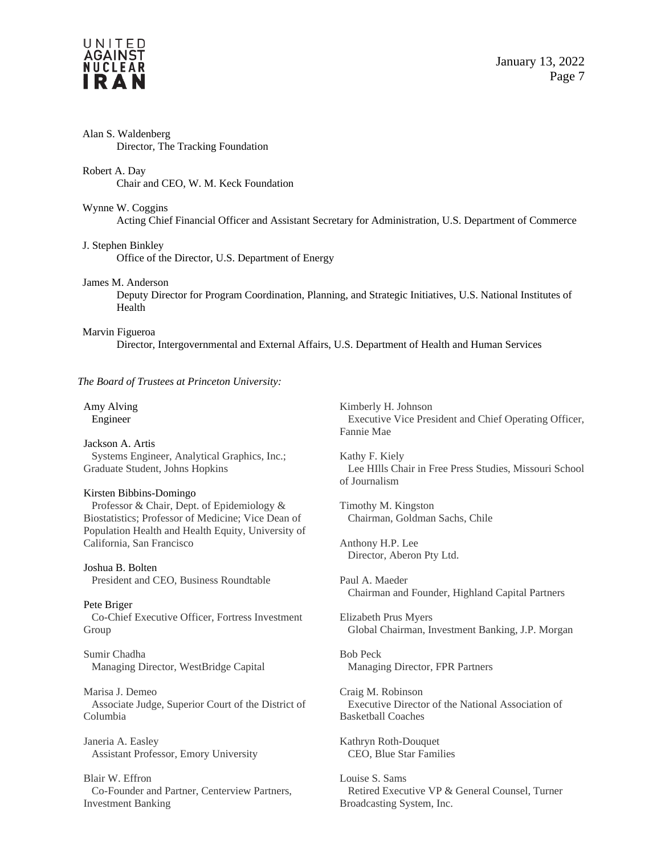

| Alan S. Waldenberg<br>Director, The Tracking Foundation                                                                                                                           |                                                                                                            |  |
|-----------------------------------------------------------------------------------------------------------------------------------------------------------------------------------|------------------------------------------------------------------------------------------------------------|--|
| Robert A. Day<br>Chair and CEO, W. M. Keck Foundation                                                                                                                             |                                                                                                            |  |
| Wynne W. Coggins<br>Acting Chief Financial Officer and Assistant Secretary for Administration, U.S. Department of Commerce                                                        |                                                                                                            |  |
| J. Stephen Binkley<br>Office of the Director, U.S. Department of Energy                                                                                                           |                                                                                                            |  |
| James M. Anderson<br>Health                                                                                                                                                       | Deputy Director for Program Coordination, Planning, and Strategic Initiatives, U.S. National Institutes of |  |
| Marvin Figueroa<br>Director, Intergovernmental and External Affairs, U.S. Department of Health and Human Services                                                                 |                                                                                                            |  |
| The Board of Trustees at Princeton University:                                                                                                                                    |                                                                                                            |  |
| Amy Alving<br>Engineer                                                                                                                                                            | Kimberly H. Johnson<br>Executive Vice President and Chief Operating Officer,<br>Fannie Mae                 |  |
| Jackson A. Artis<br>Systems Engineer, Analytical Graphics, Inc.;<br>Graduate Student, Johns Hopkins                                                                               | Kathy F. Kiely<br>Lee HIlls Chair in Free Press Studies, Missouri School<br>of Journalism                  |  |
| Kirsten Bibbins-Domingo<br>Professor & Chair, Dept. of Epidemiology &<br>Biostatistics; Professor of Medicine; Vice Dean of<br>Population Health and Health Equity, University of | Timothy M. Kingston<br>Chairman, Goldman Sachs, Chile                                                      |  |
| California, San Francisco                                                                                                                                                         | Anthony H.P. Lee<br>Director, Aberon Pty Ltd.                                                              |  |
| Joshua B. Bolten<br>President and CEO, Business Roundtable                                                                                                                        | Paul A. Maeder<br>Chairman and Founder, Highland Capital Partners                                          |  |
| Pete Briger<br>Co-Chief Executive Officer, Fortress Investment<br>Group                                                                                                           | Elizabeth Prus Myers<br>Global Chairman, Investment Banking, J.P. Morgan                                   |  |
| Sumir Chadha<br>Managing Director, WestBridge Capital                                                                                                                             | <b>Bob Peck</b><br>Managing Director, FPR Partners                                                         |  |
| Marisa J. Demeo<br>Associate Judge, Superior Court of the District of<br>Columbia                                                                                                 | Craig M. Robinson<br>Executive Director of the National Association of<br><b>Basketball Coaches</b>        |  |
| Janeria A. Easley<br>Assistant Professor, Emory University                                                                                                                        | Kathryn Roth-Douquet<br>CEO, Blue Star Families                                                            |  |
| Blair W. Effron                                                                                                                                                                   | Louise S. Sams                                                                                             |  |

Retired Executive VP & General Counsel, Turner

Broadcasting System, Inc.

Blair W. Effron Co-Founder and Partner, Centerview Partners, Investment Banking